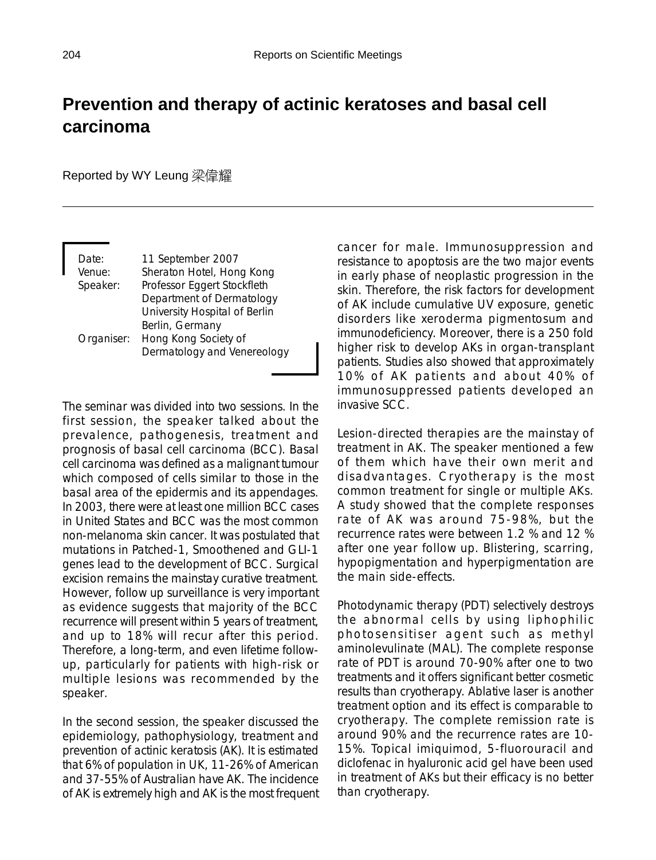## **Prevention and therapy of actinic keratoses and basal cell carcinoma**

Reported by WY Leung 梁偉耀

| Date:      | 11 September 2007             |
|------------|-------------------------------|
| Venue:     | Sheraton Hotel, Hong Kong     |
| Speaker:   | Professor Eggert Stockfleth   |
|            | Department of Dermatology     |
|            | University Hospital of Berlin |
|            | Berlin, Germany               |
| Organiser: | Hong Kong Society of          |
|            | Dermatology and Venereology   |

The seminar was divided into two sessions. In the first session, the speaker talked about the prevalence, pathogenesis, treatment and prognosis of basal cell carcinoma (BCC). Basal cell carcinoma was defined as a malignant tumour which composed of cells similar to those in the basal area of the epidermis and its appendages. In 2003, there were at least one million BCC cases in United States and BCC was the most common non-melanoma skin cancer. It was postulated that mutations in Patched-1, Smoothened and GLI-1 genes lead to the development of BCC. Surgical excision remains the mainstay curative treatment. However, follow up surveillance is very important as evidence suggests that majority of the BCC recurrence will present within 5 years of treatment, and up to 18% will recur after this period. Therefore, a long-term, and even lifetime followup, particularly for patients with high-risk or multiple lesions was recommended by the speaker.

In the second session, the speaker discussed the epidemiology, pathophysiology, treatment and prevention of actinic keratosis (AK). It is estimated that 6% of population in UK, 11-26% of American and 37-55% of Australian have AK. The incidence of AK is extremely high and AK is the most frequent cancer for male. Immunosuppression and resistance to apoptosis are the two major events in early phase of neoplastic progression in the skin. Therefore, the risk factors for development of AK include cumulative UV exposure, genetic disorders like xeroderma pigmentosum and immunodeficiency. Moreover, there is a 250 fold higher risk to develop AKs in organ-transplant patients. Studies also showed that approximately 10% of AK patients and about 40% of immunosuppressed patients developed an invasive SCC.

Lesion-directed therapies are the mainstay of treatment in AK. The speaker mentioned a few of them which have their own merit and disadvantages. Cryotherapy is the most common treatment for single or multiple AKs. A study showed that the complete responses rate of AK was around 75-98%, but the recurrence rates were between 1.2 % and 12 % after one year follow up. Blistering, scarring, hypopigmentation and hyperpigmentation are the main side-effects.

Photodynamic therapy (PDT) selectively destroys the abnormal cells by using liphophilic photosensitiser agent such as methyl aminolevulinate (MAL). The complete response rate of PDT is around 70-90% after one to two treatments and it offers significant better cosmetic results than cryotherapy. Ablative laser is another treatment option and its effect is comparable to cryotherapy. The complete remission rate is around 90% and the recurrence rates are 10- 15%. Topical imiquimod, 5-fluorouracil and diclofenac in hyaluronic acid gel have been used in treatment of AKs but their efficacy is no better than cryotherapy.